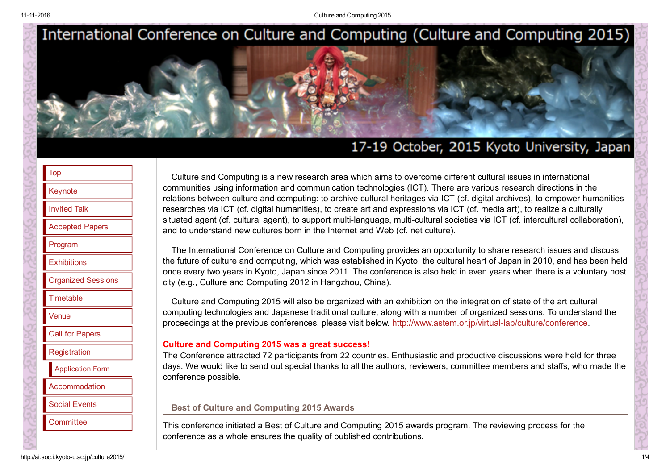11112016 Culture and Computing 2015



# 17-19 October, 2015 Kyoto University, Japan

| evnote |
|--------|

|  | <b>Invited Talk</b> |  |
|--|---------------------|--|
|  |                     |  |
|  |                     |  |

```
Accepted Papers
```
[Program](http://ai.soc.i.kyoto-u.ac.jp/culture2015/program.html)

**[Exhibitions](http://ai.soc.i.kyoto-u.ac.jp/culture2015/exhibitions.html)** 

[Organized](http://ai.soc.i.kyoto-u.ac.jp/culture2015/organized_sessions.html) Sessions

**[Timetable](http://ai.soc.i.kyoto-u.ac.jp/culture2015/timetable.html)** 

[Venue](http://ai.soc.i.kyoto-u.ac.jp/culture2015/access.html)

Call for [Papers](http://ai.soc.i.kyoto-u.ac.jp/culture2015/call_for_papers.html)

**[Registration](http://ai.soc.i.kyoto-u.ac.jp/culture2015/registration.html)** 

[Application](http://ai.soc.i.kyoto-u.ac.jp/culture2015/register2015.php) Form

**[Accommodation](http://ai.soc.i.kyoto-u.ac.jp/culture2015/accommodation.html)** 

Social [Events](http://ai.soc.i.kyoto-u.ac.jp/culture2015/social_event.html)

**[Committee](http://ai.soc.i.kyoto-u.ac.jp/culture2015/committee.html)** 

Culture and Computing is a new research area which aims to overcome different cultural issues in international communities using information and communication technologies (ICT). There are various research directions in the relations between culture and computing: to archive cultural heritages via ICT (cf. digital archives), to empower humanities researches via ICT (cf. digital humanities), to create art and expressions via ICT (cf. media art), to realize a culturally situated agent (cf. cultural agent), to support multi-language, multi-cultural societies via ICT (cf. intercultural collaboration), and to understand new cultures born in the Internet and Web (cf. net culture).

The International Conference on Culture and Computing provides an opportunity to share research issues and discuss the future of culture and computing, which was established in Kyoto, the cultural heart of Japan in 2010, and has been held once every two years in Kyoto, Japan since 2011. The conference is also held in even years when there is a voluntary host city (e.g., Culture and Computing 2012 in Hangzhou, China).

Culture and Computing 2015 will also be organized with an exhibition on the integration of state of the art cultural computing technologies and Japanese traditional culture, along with a number of organized sessions. To understand the proceedings at the previous conferences, please visit below. [http://www.astem.or.jp/virtuallab/culture/conference.](http://www.astem.or.jp/virtual-lab/culture/conference/)

#### Culture and Computing 2015 was a great success!

The Conference attracted 72 participants from 22 countries. Enthusiastic and productive discussions were held for three days. We would like to send out special thanks to all the authors, reviewers, committee members and staffs, who made the conference possible.

#### Best of Culture and Computing 2015 Awards

This conference initiated a Best of Culture and Computing 2015 awards program. The reviewing process for the conference as a whole ensures the quality of published contributions.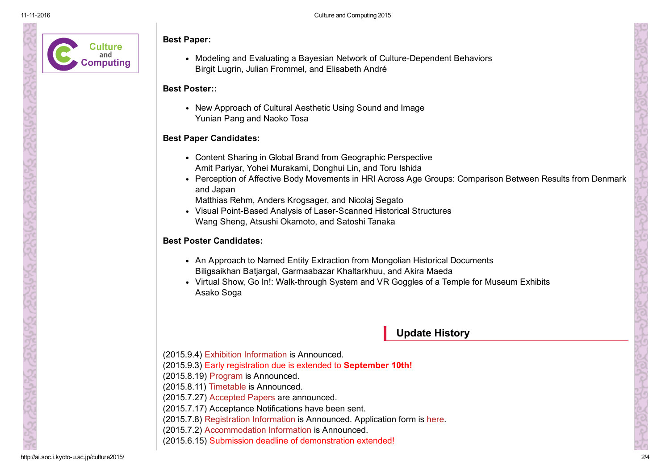

#### Best Paper:

• Modeling and Evaluating a Bayesian Network of Culture-Dependent Behaviors Birgit Lugrin, Julian Frommel, and Elisabeth André

### Best Poster::

New Approach of Cultural Aesthetic Using Sound and Image Yunian Pang and Naoko Tosa

### Best Paper Candidates:

- Content Sharing in Global Brand from Geographic Perspective Amit Pariyar, Yohei Murakami, Donghui Lin, and Toru Ishida
- Perception of Affective Body Movements in HRI Across Age Groups: Comparison Between Results from Denmark and Japan

Matthias Rehm, Anders Krogsager, and Nicolaj Segato

• Visual Point-Based Analysis of Laser-Scanned Historical Structures Wang Sheng, Atsushi Okamoto, and Satoshi Tanaka

### Best Poster Candidates:

- An Approach to Named Entity Extraction from Mongolian Historical Documents Biligsaikhan Batjargal, Garmaabazar Khaltarkhuu, and Akira Maeda
- Virtual Show, Go In!: Walk-through System and VR Goggles of a Temple for Museum Exhibits Asako Soga

# Update History

- (2015.9.4) Exhibition [Information](http://ai.soc.i.kyoto-u.ac.jp/culture2015/exhibitions.html) is Announced.
- (2015.9.3) Early registration due is extended to [September](http://ai.soc.i.kyoto-u.ac.jp/culture2015/registration.html) 10th!
- (2015.8.19) [Program](http://ai.soc.i.kyoto-u.ac.jp/culture2015/program.html) is Announced.
- (2015.8.11) [Timetable](http://ai.soc.i.kyoto-u.ac.jp/culture2015/timetable.html) is Announced.
- (2015.7.27) [Accepted](http://ai.soc.i.kyoto-u.ac.jp/culture2015/paper.html) Papers are announced.
- (2015.7.17) Acceptance Notifications have been sent.
- (2015.7.8) [Registration](http://ai.soc.i.kyoto-u.ac.jp/culture2015/registration.html) Information is Announced. Application form is [here](http://ai.soc.i.kyoto-u.ac.jp/culture2015/register2015.php).
- (2015.7.2) [Accommodation](http://ai.soc.i.kyoto-u.ac.jp/culture2015/accommodation.html) Information is Announced.
- (2015.6.15) Submission deadline of [demonstration](http://ai.soc.i.kyoto-u.ac.jp/culture2015/call_for_papers.html) extended!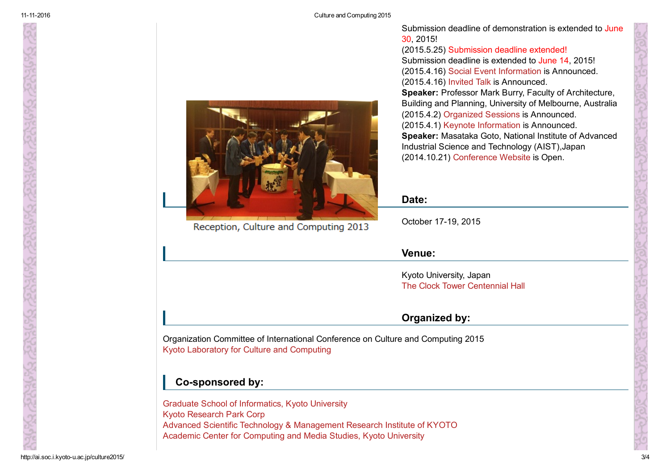

Academic Center for [Computing](http://www.media.kyoto-u.ac.jp/en) and Media Studies, Kyoto University